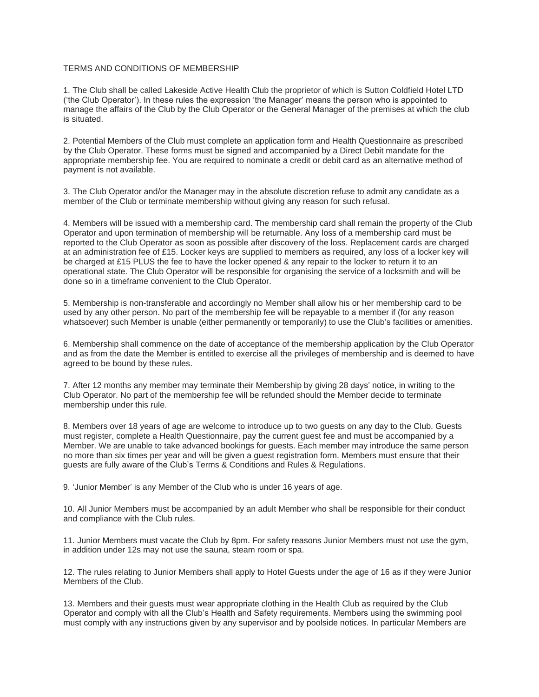## TERMS AND CONDITIONS OF MEMBERSHIP

1. The Club shall be called Lakeside Active Health Club the proprietor of which is Sutton Coldfield Hotel LTD ('the Club Operator'). In these rules the expression 'the Manager' means the person who is appointed to manage the affairs of the Club by the Club Operator or the General Manager of the premises at which the club is situated.

2. Potential Members of the Club must complete an application form and Health Questionnaire as prescribed by the Club Operator. These forms must be signed and accompanied by a Direct Debit mandate for the appropriate membership fee. You are required to nominate a credit or debit card as an alternative method of payment is not available.

3. The Club Operator and/or the Manager may in the absolute discretion refuse to admit any candidate as a member of the Club or terminate membership without giving any reason for such refusal.

4. Members will be issued with a membership card. The membership card shall remain the property of the Club Operator and upon termination of membership will be returnable. Any loss of a membership card must be reported to the Club Operator as soon as possible after discovery of the loss. Replacement cards are charged at an administration fee of £15. Locker keys are supplied to members as required, any loss of a locker key will be charged at £15 PLUS the fee to have the locker opened & any repair to the locker to return it to an operational state. The Club Operator will be responsible for organising the service of a locksmith and will be done so in a timeframe convenient to the Club Operator.

5. Membership is non-transferable and accordingly no Member shall allow his or her membership card to be used by any other person. No part of the membership fee will be repayable to a member if (for any reason whatsoever) such Member is unable (either permanently or temporarily) to use the Club's facilities or amenities.

6. Membership shall commence on the date of acceptance of the membership application by the Club Operator and as from the date the Member is entitled to exercise all the privileges of membership and is deemed to have agreed to be bound by these rules.

7. After 12 months any member may terminate their Membership by giving 28 days' notice, in writing to the Club Operator. No part of the membership fee will be refunded should the Member decide to terminate membership under this rule.

8. Members over 18 years of age are welcome to introduce up to two guests on any day to the Club. Guests must register, complete a Health Questionnaire, pay the current guest fee and must be accompanied by a Member. We are unable to take advanced bookings for guests. Each member may introduce the same person no more than six times per year and will be given a guest registration form. Members must ensure that their guests are fully aware of the Club's Terms & Conditions and Rules & Regulations.

9. 'Junior Member' is any Member of the Club who is under 16 years of age.

10. All Junior Members must be accompanied by an adult Member who shall be responsible for their conduct and compliance with the Club rules.

11. Junior Members must vacate the Club by 8pm. For safety reasons Junior Members must not use the gym, in addition under 12s may not use the sauna, steam room or spa.

12. The rules relating to Junior Members shall apply to Hotel Guests under the age of 16 as if they were Junior Members of the Club.

13. Members and their guests must wear appropriate clothing in the Health Club as required by the Club Operator and comply with all the Club's Health and Safety requirements. Members using the swimming pool must comply with any instructions given by any supervisor and by poolside notices. In particular Members are